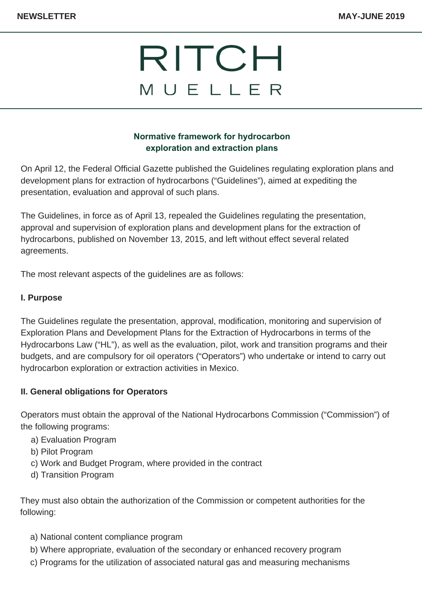## **Normative framework for hydrocarbon exploration and extraction plans**

On April 12, the Federal Official Gazette published the Guidelines regulating exploration plans and development plans for extraction of hydrocarbons ("Guidelines"), aimed at expediting the presentation, evaluation and approval of such plans.

The Guidelines, in force as of April 13, repealed the Guidelines regulating the presentation, approval and supervision of exploration plans and development plans for the extraction of hydrocarbons, published on November 13, 2015, and left without effect several related agreements.

The most relevant aspects of the guidelines are as follows:

#### **I. Purpose**

The Guidelines regulate the presentation, approval, modification, monitoring and supervision of Exploration Plans and Development Plans for the Extraction of Hydrocarbons in terms of the Hydrocarbons Law ("HL"), as well as the evaluation, pilot, work and transition programs and their budgets, and are compulsory for oil operators ("Operators") who undertake or intend to carry out hydrocarbon exploration or extraction activities in Mexico.

#### **II. General obligations for Operators**

Operators must obtain the approval of the National Hydrocarbons Commission ("Commission") of the following programs:

- a) Evaluation Program
- b) Pilot Program
- c) Work and Budget Program, where provided in the contract
- d) Transition Program

They must also obtain the authorization of the Commission or competent authorities for the following:

- a) National content compliance program
- b) Where appropriate, evaluation of the secondary or enhanced recovery program
- c) Programs for the utilization of associated natural gas and measuring mechanisms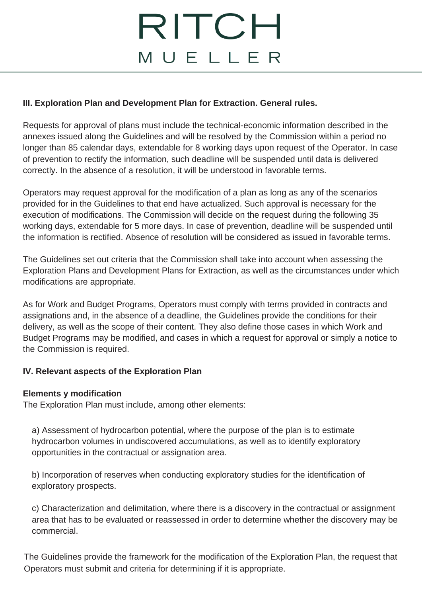### **III. Exploration Plan and Development Plan for Extraction. General rules.**

Requests for approval of plans must include the technical-economic information described in the annexes issued along the Guidelines and will be resolved by the Commission within a period no longer than 85 calendar days, extendable for 8 working days upon request of the Operator. In case of prevention to rectify the information, such deadline will be suspended until data is delivered correctly. In the absence of a resolution, it will be understood in favorable terms.

Operators may request approval for the modification of a plan as long as any of the scenarios provided for in the Guidelines to that end have actualized. Such approval is necessary for the execution of modifications. The Commission will decide on the request during the following 35 working days, extendable for 5 more days. In case of prevention, deadline will be suspended until the information is rectified. Absence of resolution will be considered as issued in favorable terms.

The Guidelines set out criteria that the Commission shall take into account when assessing the Exploration Plans and Development Plans for Extraction, as well as the circumstances under which modifications are appropriate.

As for Work and Budget Programs, Operators must comply with terms provided in contracts and assignations and, in the absence of a deadline, the Guidelines provide the conditions for their delivery, as well as the scope of their content. They also define those cases in which Work and Budget Programs may be modified, and cases in which a request for approval or simply a notice to the Commission is required.

## **IV. Relevant aspects of the Exploration Plan**

#### **Elements y modification**

The Exploration Plan must include, among other elements:

a) Assessment of hydrocarbon potential, where the purpose of the plan is to estimate hydrocarbon volumes in undiscovered accumulations, as well as to identify exploratory opportunities in the contractual or assignation area.

b) Incorporation of reserves when conducting exploratory studies for the identification of exploratory prospects.

c) Characterization and delimitation, where there is a discovery in the contractual or assignment area that has to be evaluated or reassessed in order to determine whether the discovery may be commercial.

The Guidelines provide the framework for the modification of the Exploration Plan, the request that Operators must submit and criteria for determining if it is appropriate.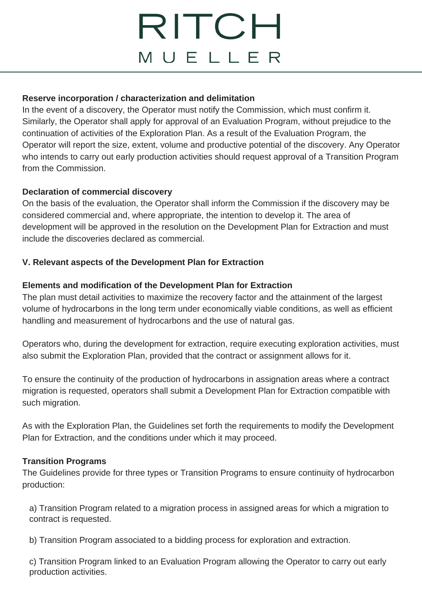### **Reserve incorporation / characterization and delimitation**

In the event of a discovery, the Operator must notify the Commission, which must confirm it. Similarly, the Operator shall apply for approval of an Evaluation Program, without prejudice to the continuation of activities of the Exploration Plan. As a result of the Evaluation Program, the Operator will report the size, extent, volume and productive potential of the discovery. Any Operator who intends to carry out early production activities should request approval of a Transition Program from the Commission.

### **Declaration of commercial discovery**

On the basis of the evaluation, the Operator shall inform the Commission if the discovery may be considered commercial and, where appropriate, the intention to develop it. The area of development will be approved in the resolution on the Development Plan for Extraction and must include the discoveries declared as commercial.

### **V. Relevant aspects of the Development Plan for Extraction**

### **Elements and modification of the Development Plan for Extraction**

The plan must detail activities to maximize the recovery factor and the attainment of the largest volume of hydrocarbons in the long term under economically viable conditions, as well as efficient handling and measurement of hydrocarbons and the use of natural gas.

Operators who, during the development for extraction, require executing exploration activities, must also submit the Exploration Plan, provided that the contract or assignment allows for it.

To ensure the continuity of the production of hydrocarbons in assignation areas where a contract migration is requested, operators shall submit a Development Plan for Extraction compatible with such migration.

As with the Exploration Plan, the Guidelines set forth the requirements to modify the Development Plan for Extraction, and the conditions under which it may proceed.

#### **Transition Programs**

The Guidelines provide for three types or Transition Programs to ensure continuity of hydrocarbon production:

a) Transition Program related to a migration process in assigned areas for which a migration to contract is requested.

b) Transition Program associated to a bidding process for exploration and extraction.

c) Transition Program linked to an Evaluation Program allowing the Operator to carry out early production activities.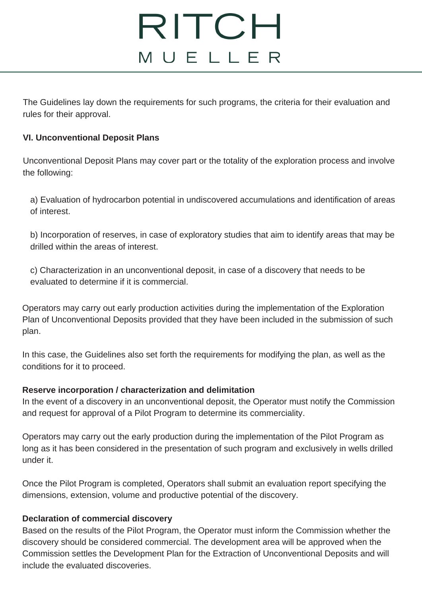The Guidelines lay down the requirements for such programs, the criteria for their evaluation and rules for their approval.

### **VI. Unconventional Deposit Plans**

Unconventional Deposit Plans may cover part or the totality of the exploration process and involve the following:

a) Evaluation of hydrocarbon potential in undiscovered accumulations and identification of areas of interest.

b) Incorporation of reserves, in case of exploratory studies that aim to identify areas that may be drilled within the areas of interest.

c) Characterization in an unconventional deposit, in case of a discovery that needs to be evaluated to determine if it is commercial.

Operators may carry out early production activities during the implementation of the Exploration Plan of Unconventional Deposits provided that they have been included in the submission of such plan.

In this case, the Guidelines also set forth the requirements for modifying the plan, as well as the conditions for it to proceed.

## **Reserve incorporation / characterization and delimitation**

In the event of a discovery in an unconventional deposit, the Operator must notify the Commission and request for approval of a Pilot Program to determine its commerciality.

Operators may carry out the early production during the implementation of the Pilot Program as long as it has been considered in the presentation of such program and exclusively in wells drilled under it.

Once the Pilot Program is completed, Operators shall submit an evaluation report specifying the dimensions, extension, volume and productive potential of the discovery.

## **Declaration of commercial discovery**

Based on the results of the Pilot Program, the Operator must inform the Commission whether the discovery should be considered commercial. The development area will be approved when the Commission settles the Development Plan for the Extraction of Unconventional Deposits and will include the evaluated discoveries.